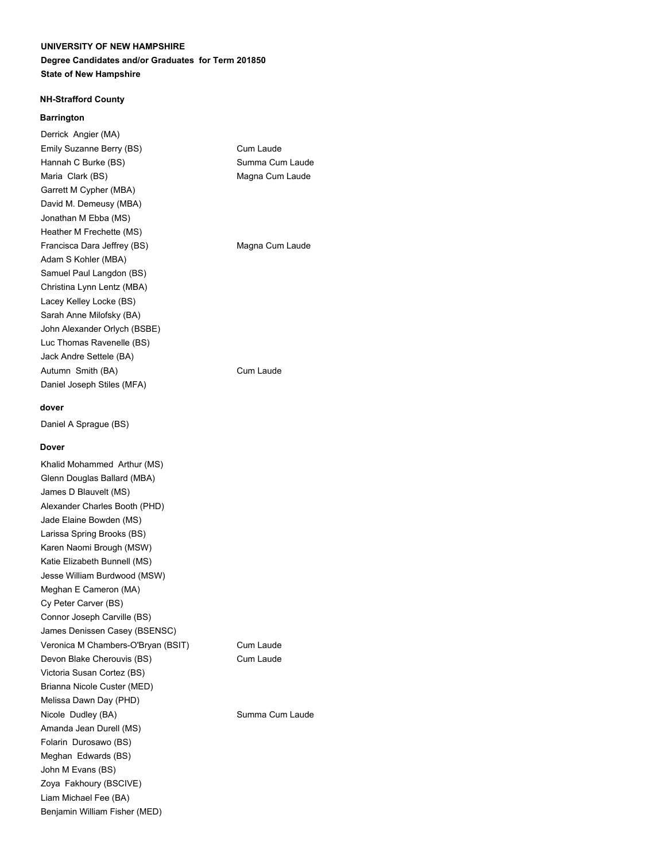#### **Degree Candidates and/or Graduates for Term 201850 State of New Hampshire**

#### **NH-Strafford County**

#### **Barrington**

Derrick Angier (MA) Emily Suzanne Berry (BS) Cum Laude Hannah C Burke (BS) Summa Cum Laude Maria Clark (BS) Magna Cum Laude Garrett M Cypher (MBA) David M. Demeusy (MBA) Jonathan M Ebba (MS) Heather M Frechette (MS) Francisca Dara Jeffrey (BS) Magna Cum Laude Adam S Kohler (MBA) Samuel Paul Langdon (BS) Christina Lynn Lentz (MBA) Lacey Kelley Locke (BS) Sarah Anne Milofsky (BA) John Alexander Orlych (BSBE) Luc Thomas Ravenelle (BS) Jack Andre Settele (BA) Autumn Smith (BA) Cum Laude Daniel Joseph Stiles (MFA)

**dover**

Daniel A Sprague (BS)

#### **Dover**

Khalid Mohammed Arthur (MS) Glenn Douglas Ballard (MBA) James D Blauvelt (MS) Alexander Charles Booth (PHD) Jade Elaine Bowden (MS) Larissa Spring Brooks (BS) Karen Naomi Brough (MSW) Katie Elizabeth Bunnell (MS) Jesse William Burdwood (MSW) Meghan E Cameron (MA) Cy Peter Carver (BS) Connor Joseph Carville (BS) James Denissen Casey (BSENSC) Veronica M Chambers-O'Bryan (BSIT) Cum Laude Devon Blake Cherouvis (BS) Cum Laude Victoria Susan Cortez (BS) Brianna Nicole Custer (MED) Melissa Dawn Day (PHD) Nicole Dudley (BA) Summa Cum Laude Amanda Jean Durell (MS) Folarin Durosawo (BS) Meghan Edwards (BS) John M Evans (BS) Zoya Fakhoury (BSCIVE) Liam Michael Fee (BA) Benjamin William Fisher (MED)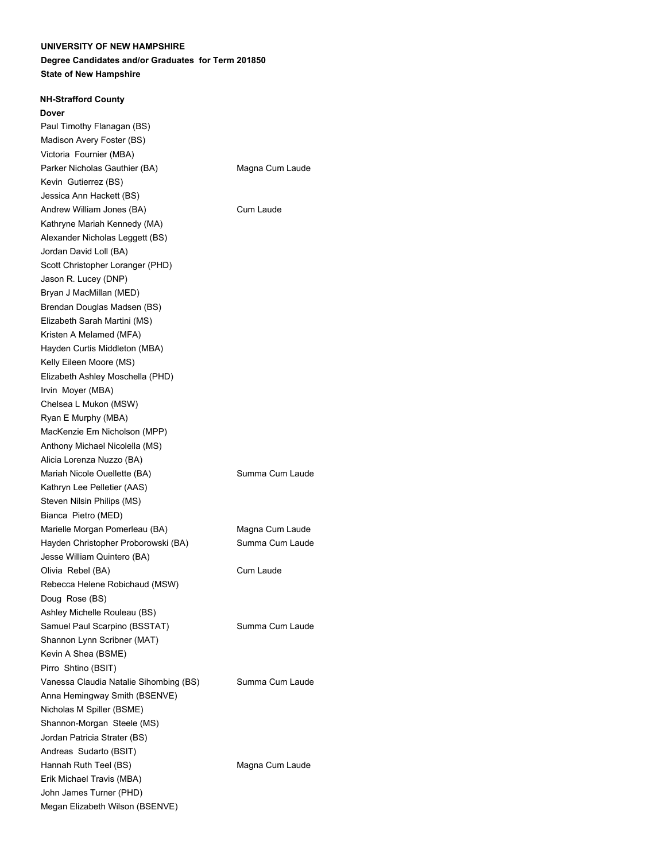#### **Degree Candidates and/or Graduates for Term 201850 State of New Hampshire**

#### **NH-Strafford County**

#### **Dover**

Paul Timothy Flanagan (BS) Madison Avery Foster (BS) Victoria Fournier (MBA) Parker Nicholas Gauthier (BA) Magna Cum Laude Kevin Gutierrez (BS) Jessica Ann Hackett (BS) Andrew William Jones (BA) Cum Laude Kathryne Mariah Kennedy (MA) Alexander Nicholas Leggett (BS) Jordan David Loll (BA) Scott Christopher Loranger (PHD) Jason R. Lucey (DNP) Bryan J MacMillan (MED) Brendan Douglas Madsen (BS) Elizabeth Sarah Martini (MS) Kristen A Melamed (MFA) Hayden Curtis Middleton (MBA) Kelly Eileen Moore (MS) Elizabeth Ashley Moschella (PHD) Irvin Moyer (MBA) Chelsea L Mukon (MSW) Ryan E Murphy (MBA) MacKenzie Em Nicholson (MPP) Anthony Michael Nicolella (MS) Alicia Lorenza Nuzzo (BA) Mariah Nicole Ouellette (BA) Summa Cum Laude Kathryn Lee Pelletier (AAS) Steven Nilsin Philips (MS) Bianca Pietro (MED) Marielle Morgan Pomerleau (BA) Magna Cum Laude Hayden Christopher Proborowski (BA) Summa Cum Laude Jesse William Quintero (BA) Olivia Rebel (BA) Cum Laude Rebecca Helene Robichaud (MSW) Doug Rose (BS) Ashley Michelle Rouleau (BS) Samuel Paul Scarpino (BSSTAT) Summa Cum Laude Shannon Lynn Scribner (MAT) Kevin A Shea (BSME) Pirro Shtino (BSIT) Vanessa Claudia Natalie Sihombing (BS) Summa Cum Laude Anna Hemingway Smith (BSENVE) Nicholas M Spiller (BSME) Shannon-Morgan Steele (MS) Jordan Patricia Strater (BS) Andreas Sudarto (BSIT) Hannah Ruth Teel (BS) Magna Cum Laude Erik Michael Travis (MBA) John James Turner (PHD) Megan Elizabeth Wilson (BSENVE)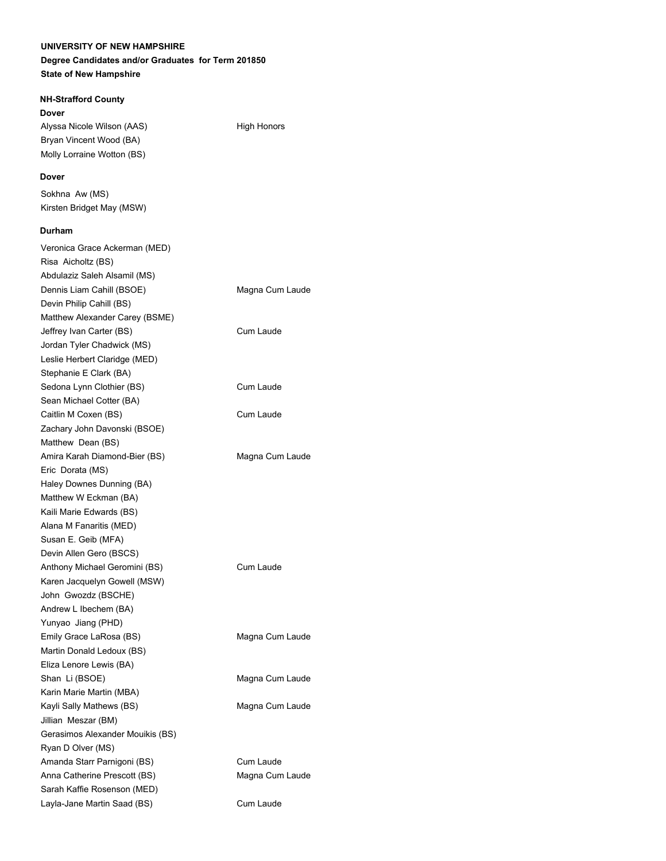## **Degree Candidates and/or Graduates for Term 201850 State of New Hampshire**

## **NH-Strafford County**

**Dover**

Alyssa Nicole Wilson (AAS) High Honors

## **Dover**

Sokhna Aw (MS) Kirsten Bridget May (MSW)

Bryan Vincent Wood (BA) Molly Lorraine Wotton (BS)

## **Durham**

| Veronica Grace Ackerman (MED)    |                 |
|----------------------------------|-----------------|
| Risa Aicholtz (BS)               |                 |
| Abdulaziz Saleh Alsamil (MS)     |                 |
| Dennis Liam Cahill (BSOE)        | Magna Cum Laude |
| Devin Philip Cahill (BS)         |                 |
| Matthew Alexander Carey (BSME)   |                 |
| Jeffrey Ivan Carter (BS)         | Cum Laude       |
| Jordan Tyler Chadwick (MS)       |                 |
| Leslie Herbert Claridge (MED)    |                 |
| Stephanie E Clark (BA)           |                 |
| Sedona Lynn Clothier (BS)        | Cum Laude       |
| Sean Michael Cotter (BA)         |                 |
| Caitlin M Coxen (BS)             | Cum Laude       |
| Zachary John Davonski (BSOE)     |                 |
| Matthew Dean (BS)                |                 |
| Amira Karah Diamond-Bier (BS)    | Magna Cum Laude |
| Eric Dorata (MS)                 |                 |
| Haley Downes Dunning (BA)        |                 |
| Matthew W Eckman (BA)            |                 |
| Kaili Marie Edwards (BS)         |                 |
| Alana M Fanaritis (MED)          |                 |
| Susan E. Geib (MFA)              |                 |
| Devin Allen Gero (BSCS)          |                 |
| Anthony Michael Geromini (BS)    | Cum Laude       |
| Karen Jacquelyn Gowell (MSW)     |                 |
| John Gwozdz (BSCHE)              |                 |
| Andrew L Ibechem (BA)            |                 |
| Yunyao Jiang (PHD)               |                 |
| Emily Grace LaRosa (BS)          | Magna Cum Laude |
| Martin Donald Ledoux (BS)        |                 |
| Eliza Lenore Lewis (BA)          |                 |
| Shan Li (BSOE)                   | Magna Cum Laude |
| Karin Marie Martin (MBA)         |                 |
| Kayli Sally Mathews (BS)         | Magna Cum Laude |
| Jillian Meszar (BM)              |                 |
| Gerasimos Alexander Mouikis (BS) |                 |
| Ryan D Olver (MS)                |                 |
| Amanda Starr Parnigoni (BS)      | Cum Laude       |
| Anna Catherine Prescott (BS)     | Magna Cum Laude |
| Sarah Kaffie Rosenson (MED)      |                 |
| Layla-Jane Martin Saad (BS)      | Cum Laude       |
|                                  |                 |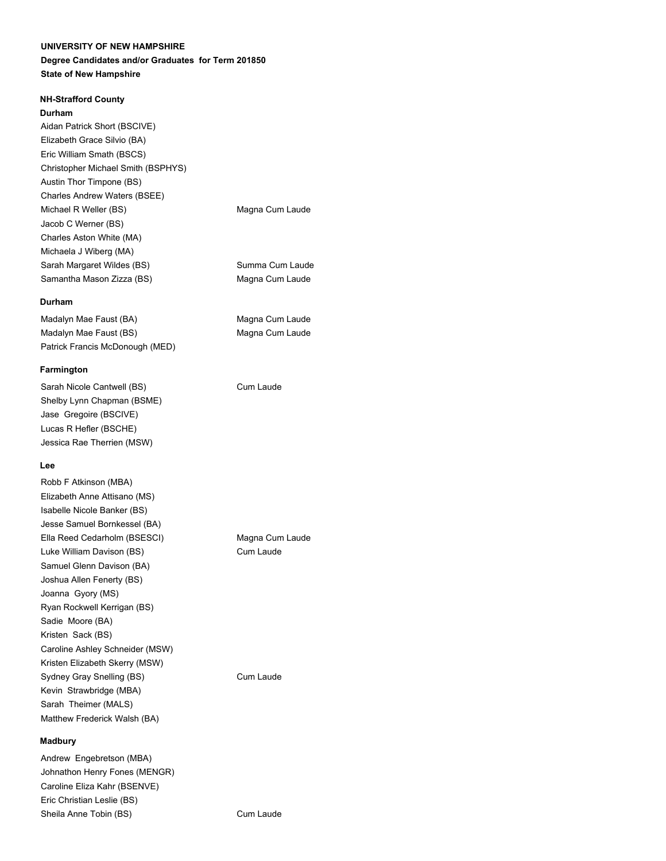#### **Degree Candidates and/or Graduates for Term 201850 State of New Hampshire**

### **NH-Strafford County**

#### **Durham**

Aidan Patrick Short (BSCIVE) Elizabeth Grace Silvio (BA) Eric William Smath (BSCS) Christopher Michael Smith (BSPHYS) Austin Thor Timpone (BS) Charles Andrew Waters (BSEE) Michael R Weller (BS) Michael R Weller (BS) Jacob C Werner (BS) Charles Aston White (MA) Michaela J Wiberg (MA) Sarah Margaret Wildes (BS) Summa Cum Laude Samantha Mason Zizza (BS) Magna Cum Laude

#### **Durham**

Madalyn Mae Faust (BA) Magna Cum Laude Madalyn Mae Faust (BS) Magna Cum Laude Patrick Francis McDonough (MED)

#### **Farmington**

Sarah Nicole Cantwell (BS) Cum Laude Shelby Lynn Chapman (BSME) Jase Gregoire (BSCIVE) Lucas R Hefler (BSCHE) Jessica Rae Therrien (MSW)

### **Lee**

Robb F Atkinson (MBA) Elizabeth Anne Attisano (MS) Isabelle Nicole Banker (BS) Jesse Samuel Bornkessel (BA) Ella Reed Cedarholm (BSESCI) Magna Cum Laude Luke William Davison (BS) Cum Laude Samuel Glenn Davison (BA) Joshua Allen Fenerty (BS) Joanna Gyory (MS) Ryan Rockwell Kerrigan (BS) Sadie Moore (BA) Kristen Sack (BS) Caroline Ashley Schneider (MSW) Kristen Elizabeth Skerry (MSW) Sydney Gray Snelling (BS) Cum Laude Kevin Strawbridge (MBA) Sarah Theimer (MALS) Matthew Frederick Walsh (BA)

#### **Madbury**

Andrew Engebretson (MBA) Johnathon Henry Fones (MENGR) Caroline Eliza Kahr (BSENVE) Eric Christian Leslie (BS) Sheila Anne Tobin (BS) Cum Laude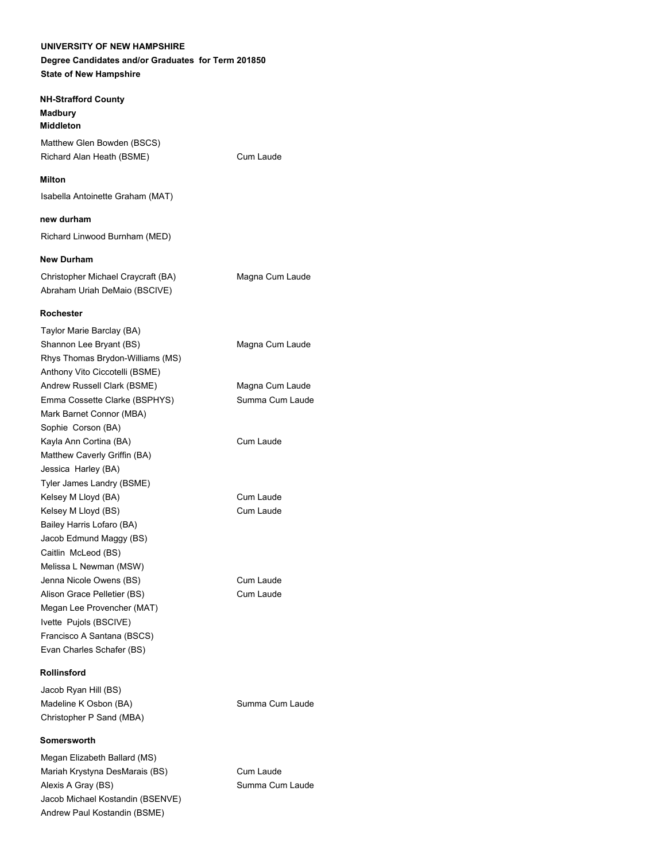## **UNIVERSITY OF NEW HAMPSHIRE Degree Candidates and/or Graduates for Term 201850**

**State of New Hampshire**

## **NH-Strafford County Madbury**

**Middleton** Matthew Glen Bowden (BSCS) Richard Alan Heath (BSME) Cum Laude

## **Milton**

Isabella Antoinette Graham (MAT)

## **new durham**

Richard Linwood Burnham (MED)

## **New Durham**

Christopher Michael Craycraft (BA) Magna Cum Laude Abraham Uriah DeMaio (BSCIVE)

#### **Rochester**

Taylor Marie Barclay (BA) Shannon Lee Bryant (BS) Magna Cum Laude Rhys Thomas Brydon-Williams (MS) Anthony Vito Ciccotelli (BSME) Andrew Russell Clark (BSME) Magna Cum Laude Emma Cossette Clarke (BSPHYS) Summa Cum Laude Mark Barnet Connor (MBA) Sophie Corson (BA) Kayla Ann Cortina (BA) Cum Laude Matthew Caverly Griffin (BA) Jessica Harley (BA) Tyler James Landry (BSME) Kelsey M Lloyd (BA) Cum Laude Kelsey M Lloyd (BS) Cum Laude Bailey Harris Lofaro (BA) Jacob Edmund Maggy (BS) Caitlin McLeod (BS) Melissa L Newman (MSW) Jenna Nicole Owens (BS) Cum Laude Alison Grace Pelletier (BS) Cum Laude Megan Lee Provencher (MAT) Ivette Pujols (BSCIVE) Francisco A Santana (BSCS) Evan Charles Schafer (BS)

## **Rollinsford**

Jacob Ryan Hill (BS) Madeline K Osbon (BA) Summa Cum Laude Christopher P Sand (MBA)

## **Somersworth**

Megan Elizabeth Ballard (MS) Mariah Krystyna DesMarais (BS) Cum Laude Alexis A Gray (BS) Summa Cum Laude Jacob Michael Kostandin (BSENVE) Andrew Paul Kostandin (BSME)